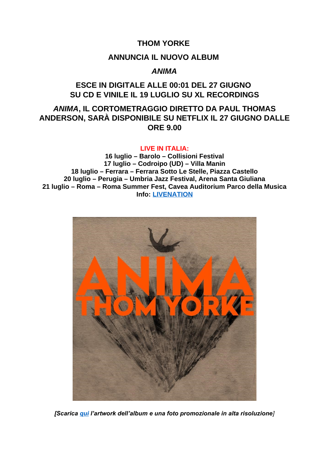## **THOM YORKE**

#### **ANNUNCIA IL NUOVO ALBUM**

## *ANIMA*

# **ESCE IN DIGITALE ALLE 00:01 DEL 27 GIUGNO SU CD E VINILE IL 19 LUGLIO SU XL RECORDINGS**

# *ANIMA***, IL CORTOMETRAGGIO DIRETTO DA PAUL THOMAS ANDERSON, SARÀ DISPONIBILE SU NETFLIX IL 27 GIUGNO DALLE ORE 9.00**

#### **LIVE IN ITALIA:**

**16 luglio – Barolo – Collisioni Festival 17 luglio – Codroipo (UD) – Villa Manin 18 luglio – Ferrara – Ferrara Sotto Le Stelle, Piazza Castello 20 luglio – Perugia – Umbria Jazz Festival, Arena Santa Giuliana 21 luglio – Roma – Roma Summer Fest, Cavea Auditorium Parco della Musica Info: [LIVENATION](https://www.livenation.it/artist/thom-yorke-tickets)**



*[Scarica [qui](https://xlrecordings.box.com/s/1lnyghhilyia87xpavwaf9yqs9tnx6lz) l'artwork dell'album e una foto promozionale in alta risoluzione]*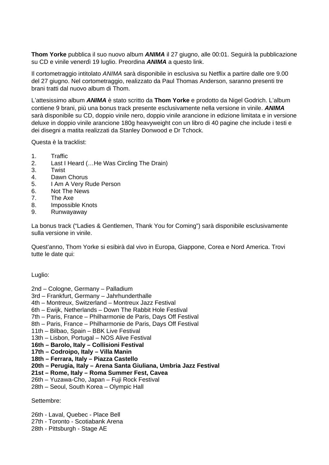**Thom Yorke** pubblica il suo nuovo album *ANIMA* il 27 giugno, alle 00:01. Seguirà la pubblicazione su CD e vinile venerdì 19 luglio. Preordina *ANIMA* a questo link.

Il cortometraggio intitolato *ANIMA* sarà disponibile in esclusiva su Netflix a partire dalle ore 9.00 del 27 giugno. Nel cortometraggio, realizzato da Paul Thomas Anderson, saranno presenti tre brani tratti dal nuovo album di Thom.

L'attesissimo album *ANIMA* è stato scritto da **Thom Yorke** e prodotto da Nigel Godrich. L'album contiene 9 brani, più una bonus track presente esclusivamente nella versione in vinile. *ANIMA* sarà disponibile su CD, doppio vinile nero, doppio vinile arancione in edizione limitata e in versione deluxe in doppio vinile arancione 180g heavyweight con un libro di 40 pagine che include i testi e dei disegni a matita realizzati da Stanley Donwood e Dr Tchock.

Questa è la tracklist:

- 1. Traffic
- 2. Last I Heard (…He Was Circling The Drain)
- 3. Twist
- 4. Dawn Chorus
- 5. I Am A Very Rude Person
- 6. Not The News
- 7. The Axe
- 8. Impossible Knots
- 9. Runwayaway

La bonus track ("Ladies & Gentlemen, Thank You for Coming") sarà disponibile esclusivamente sulla versione in vinile.

Quest'anno, Thom Yorke si esibirà dal vivo in Europa, Giappone, Corea e Nord America. Trovi tutte le date qui:

Luglio:

2nd – Cologne, Germany – Palladium

- 3rd Frankfurt, Germany Jahrhunderthalle
- 4th Montreux, Switzerland Montreux Jazz Festival
- 6th Ewijk, Netherlands Down The Rabbit Hole Festival
- 7th Paris, France Philharmonie de Paris, Days Off Festival
- 8th Paris, France Philharmonie de Paris, Days Off Festival
- 11th Bilbao, Spain BBK Live Festival
- 13th Lisbon, Portugal NOS Alive Festival
- **16th Barolo, Italy Collisioni Festival**
- **17th Codroipo, Italy Villa Manin**
- **18th Ferrara, Italy Piazza Castello**
- **20th Perugia, Italy Arena Santa Giuliana, Umbria Jazz Festival**
- **21st Rome, Italy Roma Summer Fest, Cavea**
- 26th Yuzawa-Cho, Japan Fuji Rock Festival
- 28th Seoul, South Korea Olympic Hall

Settembre:

26th - Laval, Quebec - Place Bell

- 27th Toronto Scotiabank Arena
- 28th Pittsburgh Stage AE